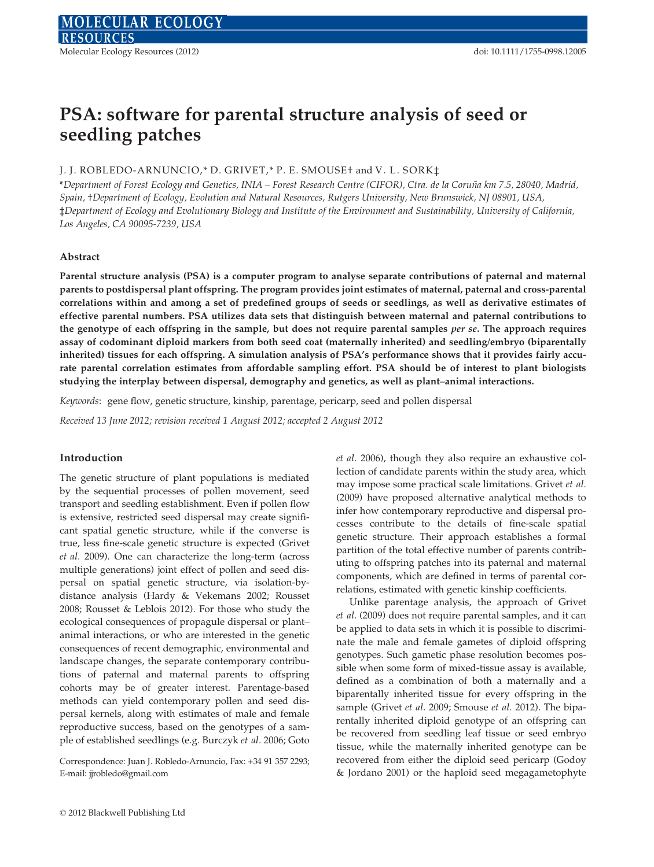# PSA: software for parental structure analysis of seed or seedling patches

## J. J. ROBLEDO-ARNUNCIO,\* D. GRIVET,\* P. E. SMOUSE† and V. L. SORK $\ddagger$

\*Department of Forest Ecology and Genetics, INIA – Forest Research Centre (CIFOR), Ctra. de la Corun˜a km 7.5, 28040, Madrid, Spain, †Department of Ecology, Evolution and Natural Resources, Rutgers University, New Brunswick, NJ 08901, USA, ‡Department of Ecology and Evolutionary Biology and Institute of the Environment and Sustainability, University of California, Los Angeles, CA 90095-7239, USA

## Abstract

Parental structure analysis (PSA) is a computer program to analyse separate contributions of paternal and maternal parents to postdispersal plant offspring. The program provides joint estimates of maternal, paternal and cross-parental correlations within and among a set of predefined groups of seeds or seedlings, as well as derivative estimates of effective parental numbers. PSA utilizes data sets that distinguish between maternal and paternal contributions to the genotype of each offspring in the sample, but does not require parental samples per se. The approach requires assay of codominant diploid markers from both seed coat (maternally inherited) and seedling/embryo (biparentally inherited) tissues for each offspring. A simulation analysis of PSA's performance shows that it provides fairly accurate parental correlation estimates from affordable sampling effort. PSA should be of interest to plant biologists studying the interplay between dispersal, demography and genetics, as well as plant–animal interactions.

Keywords: gene flow, genetic structure, kinship, parentage, pericarp, seed and pollen dispersal

Received 13 June 2012; revision received 1 August 2012; accepted 2 August 2012

## Introduction

The genetic structure of plant populations is mediated by the sequential processes of pollen movement, seed transport and seedling establishment. Even if pollen flow is extensive, restricted seed dispersal may create significant spatial genetic structure, while if the converse is true, less fine-scale genetic structure is expected (Grivet et al. 2009). One can characterize the long-term (across multiple generations) joint effect of pollen and seed dispersal on spatial genetic structure, via isolation-bydistance analysis (Hardy & Vekemans 2002; Rousset 2008; Rousset & Leblois 2012). For those who study the ecological consequences of propagule dispersal or plant– animal interactions, or who are interested in the genetic consequences of recent demographic, environmental and landscape changes, the separate contemporary contributions of paternal and maternal parents to offspring cohorts may be of greater interest. Parentage-based methods can yield contemporary pollen and seed dispersal kernels, along with estimates of male and female reproductive success, based on the genotypes of a sample of established seedlings (e.g. Burczyk et al. 2006; Goto

Correspondence: Juan J. Robledo-Arnuncio, Fax: +34 91 357 2293; E-mail: jjrobledo@gmail.com

et al. 2006), though they also require an exhaustive collection of candidate parents within the study area, which may impose some practical scale limitations. Grivet et al. (2009) have proposed alternative analytical methods to infer how contemporary reproductive and dispersal processes contribute to the details of fine-scale spatial genetic structure. Their approach establishes a formal partition of the total effective number of parents contributing to offspring patches into its paternal and maternal components, which are defined in terms of parental correlations, estimated with genetic kinship coefficients.

Unlike parentage analysis, the approach of Grivet et al. (2009) does not require parental samples, and it can be applied to data sets in which it is possible to discriminate the male and female gametes of diploid offspring genotypes. Such gametic phase resolution becomes possible when some form of mixed-tissue assay is available, defined as a combination of both a maternally and a biparentally inherited tissue for every offspring in the sample (Grivet et al. 2009; Smouse et al. 2012). The biparentally inherited diploid genotype of an offspring can be recovered from seedling leaf tissue or seed embryo tissue, while the maternally inherited genotype can be recovered from either the diploid seed pericarp (Godoy & Jordano 2001) or the haploid seed megagametophyte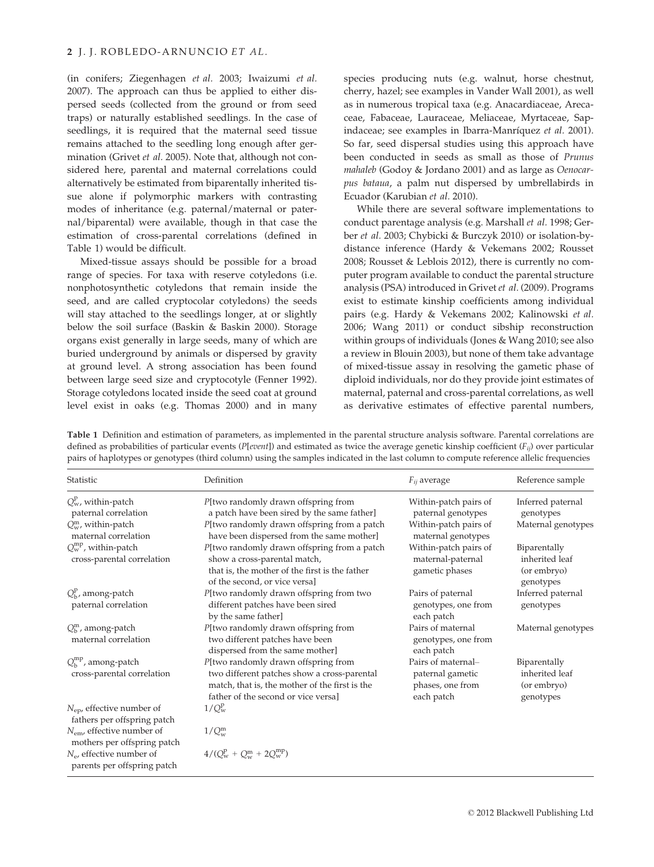(in conifers; Ziegenhagen et al. 2003; Iwaizumi et al. 2007). The approach can thus be applied to either dispersed seeds (collected from the ground or from seed traps) or naturally established seedlings. In the case of seedlings, it is required that the maternal seed tissue remains attached to the seedling long enough after germination (Grivet et al. 2005). Note that, although not considered here, parental and maternal correlations could alternatively be estimated from biparentally inherited tissue alone if polymorphic markers with contrasting modes of inheritance (e.g. paternal/maternal or paternal/biparental) were available, though in that case the estimation of cross-parental correlations (defined in Table 1) would be difficult.

Mixed-tissue assays should be possible for a broad range of species. For taxa with reserve cotyledons (i.e. nonphotosynthetic cotyledons that remain inside the seed, and are called cryptocolar cotyledons) the seeds will stay attached to the seedlings longer, at or slightly below the soil surface (Baskin & Baskin 2000). Storage organs exist generally in large seeds, many of which are buried underground by animals or dispersed by gravity at ground level. A strong association has been found between large seed size and cryptocotyle (Fenner 1992). Storage cotyledons located inside the seed coat at ground level exist in oaks (e.g. Thomas 2000) and in many

species producing nuts (e.g. walnut, horse chestnut, cherry, hazel; see examples in Vander Wall 2001), as well as in numerous tropical taxa (e.g. Anacardiaceae, Arecaceae, Fabaceae, Lauraceae, Meliaceae, Myrtaceae, Sapindaceae; see examples in Ibarra-Manríquez et al. 2001). So far, seed dispersal studies using this approach have been conducted in seeds as small as those of Prunus mahaleb (Godoy & Jordano 2001) and as large as Oenocarpus bataua, a palm nut dispersed by umbrellabirds in Ecuador (Karubian et al. 2010).

While there are several software implementations to conduct parentage analysis (e.g. Marshall et al. 1998; Gerber et al. 2003; Chybicki & Burczyk 2010) or isolation-bydistance inference (Hardy & Vekemans 2002; Rousset 2008; Rousset & Leblois 2012), there is currently no computer program available to conduct the parental structure analysis (PSA) introduced in Grivet et al. (2009). Programs exist to estimate kinship coefficients among individual pairs (e.g. Hardy & Vekemans 2002; Kalinowski et al. 2006; Wang 2011) or conduct sibship reconstruction within groups of individuals (Jones & Wang 2010; see also a review in Blouin 2003), but none of them take advantage of mixed-tissue assay in resolving the gametic phase of diploid individuals, nor do they provide joint estimates of maternal, paternal and cross-parental correlations, as well as derivative estimates of effective parental numbers,

| Statistic                                                            | Definition                                                                                                                                                                  | $F_{ij}$ average                                                         | Reference sample                                           |
|----------------------------------------------------------------------|-----------------------------------------------------------------------------------------------------------------------------------------------------------------------------|--------------------------------------------------------------------------|------------------------------------------------------------|
| $Q^{\rm p}_{\rm w}$ , within-patch<br>paternal correlation           | P[two randomly drawn offspring from<br>a patch have been sired by the same father]                                                                                          | Within-patch pairs of<br>paternal genotypes                              | Inferred paternal<br>genotypes                             |
| $Q_w^m$ , within-patch<br>maternal correlation                       | P[two randomly drawn offspring from a patch<br>have been dispersed from the same mother]                                                                                    | Within-patch pairs of<br>maternal genotypes                              | Maternal genotypes                                         |
| $Q_{\rm w}^{\rm mp}$ , within-patch<br>cross-parental correlation    | P[two randomly drawn offspring from a patch<br>show a cross-parental match,<br>that is, the mother of the first is the father<br>of the second, or vice versa]              | Within-patch pairs of<br>maternal-paternal<br>gametic phases             | Biparentally<br>inherited leaf<br>(or embryo)<br>genotypes |
| $Q_{\rm b}^{\rm p}$ , among-patch<br>paternal correlation            | P[two randomly drawn offspring from two<br>different patches have been sired<br>by the same father]                                                                         | Pairs of paternal<br>genotypes, one from<br>each patch                   | Inferred paternal<br>genotypes                             |
| $Q_h^m$ , among-patch<br>maternal correlation                        | P[two randomly drawn offspring from<br>two different patches have been<br>dispersed from the same mother]                                                                   | Pairs of maternal<br>genotypes, one from<br>each patch                   | Maternal genotypes                                         |
| $Q_{\rm h}^{\rm mp}$ , among-patch<br>cross-parental correlation     | P[two randomly drawn offspring from<br>two different patches show a cross-parental<br>match, that is, the mother of the first is the<br>father of the second or vice versal | Pairs of maternal-<br>paternal gametic<br>phases, one from<br>each patch | Biparentally<br>inherited leaf<br>(or embryo)<br>genotypes |
| $N_{ep}$ , effective number of<br>fathers per offspring patch        | $1/Q_{\rm w}^{\rm p}$                                                                                                                                                       |                                                                          |                                                            |
| $N_{\text{em}}$ , effective number of<br>mothers per offspring patch | $1/Q_w^m$                                                                                                                                                                   |                                                                          |                                                            |
| $N_e$ , effective number of<br>parents per offspring patch           | $4/(Q_w^p + Q_w^m + 2Q_w^{mp})$                                                                                                                                             |                                                                          |                                                            |

Table 1 Definition and estimation of parameters, as implemented in the parental structure analysis software. Parental correlations are defined as probabilities of particular events (P[event]) and estimated as twice the average genetic kinship coefficient ( $F_{ij}$ ) over particular pairs of haplotypes or genotypes (third column) using the samples indicated in the last column to compute reference allelic frequencies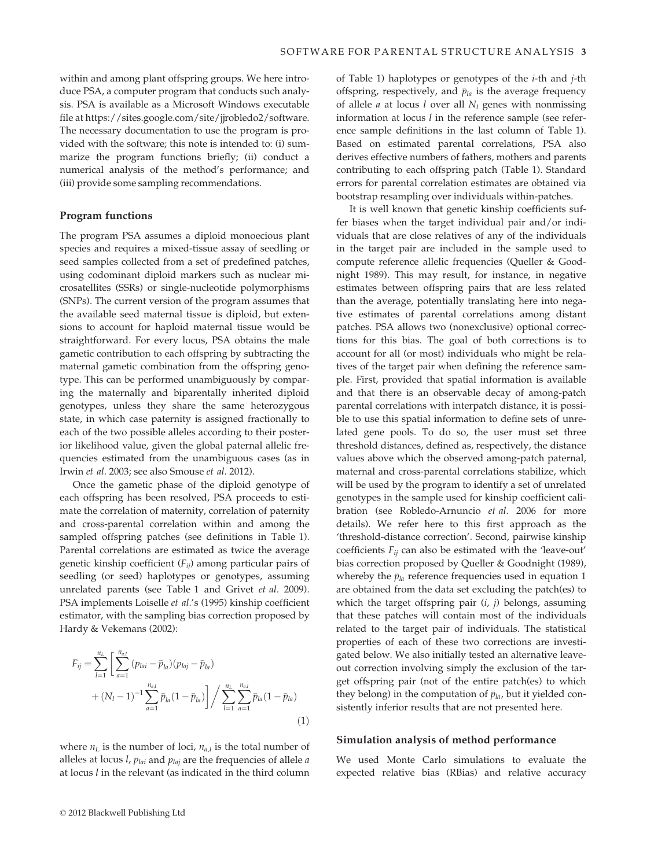within and among plant offspring groups. We here introduce PSA, a computer program that conducts such analysis. PSA is available as a Microsoft Windows executable file at https://sites.google.com/site/jjrobledo2/software. The necessary documentation to use the program is provided with the software; this note is intended to: (i) summarize the program functions briefly; (ii) conduct a numerical analysis of the method's performance; and (iii) provide some sampling recommendations.

#### Program functions

The program PSA assumes a diploid monoecious plant species and requires a mixed-tissue assay of seedling or seed samples collected from a set of predefined patches, using codominant diploid markers such as nuclear microsatellites (SSRs) or single-nucleotide polymorphisms (SNPs). The current version of the program assumes that the available seed maternal tissue is diploid, but extensions to account for haploid maternal tissue would be straightforward. For every locus, PSA obtains the male gametic contribution to each offspring by subtracting the maternal gametic combination from the offspring genotype. This can be performed unambiguously by comparing the maternally and biparentally inherited diploid genotypes, unless they share the same heterozygous state, in which case paternity is assigned fractionally to each of the two possible alleles according to their posterior likelihood value, given the global paternal allelic frequencies estimated from the unambiguous cases (as in Irwin et al. 2003; see also Smouse et al. 2012).

Once the gametic phase of the diploid genotype of each offspring has been resolved, PSA proceeds to estimate the correlation of maternity, correlation of paternity and cross-parental correlation within and among the sampled offspring patches (see definitions in Table 1). Parental correlations are estimated as twice the average genetic kinship coefficient  $(F_{ii})$  among particular pairs of seedling (or seed) haplotypes or genotypes, assuming unrelated parents (see Table 1 and Grivet et al. 2009). PSA implements Loiselle et al.'s (1995) kinship coefficient estimator, with the sampling bias correction proposed by Hardy & Vekemans (2002):

$$
F_{ij} = \sum_{l=1}^{n_L} \left[ \sum_{a=1}^{n_{a,l}} (p_{lai} - \bar{p}_{la})(p_{laj} - \bar{p}_{la}) + (N_l - 1)^{-1} \sum_{a=1}^{n_{a,l}} \bar{p}_{la}(1 - \bar{p}_{la}) \right] / \sum_{l=1}^{n_L} \sum_{a=1}^{n_{a,l}} \bar{p}_{la}(1 - \bar{p}_{la}) \tag{1}
$$

where  $n_L$  is the number of loci,  $n_{a,l}$  is the total number of alleles at locus *l*,  $p_{lai}$  and  $p_{laj}$  are the frequencies of allele *a* at locus l in the relevant (as indicated in the third column

of Table 1) haplotypes or genotypes of the i-th and j-th offspring, respectively, and  $\bar{p}_{la}$  is the average frequency of allele *a* at locus *l* over all  $N_l$  genes with nonmissing information at locus l in the reference sample (see reference sample definitions in the last column of Table 1). Based on estimated parental correlations, PSA also derives effective numbers of fathers, mothers and parents contributing to each offspring patch (Table 1). Standard errors for parental correlation estimates are obtained via bootstrap resampling over individuals within-patches.

It is well known that genetic kinship coefficients suffer biases when the target individual pair and/or individuals that are close relatives of any of the individuals in the target pair are included in the sample used to compute reference allelic frequencies (Queller & Goodnight 1989). This may result, for instance, in negative estimates between offspring pairs that are less related than the average, potentially translating here into negative estimates of parental correlations among distant patches. PSA allows two (nonexclusive) optional corrections for this bias. The goal of both corrections is to account for all (or most) individuals who might be relatives of the target pair when defining the reference sample. First, provided that spatial information is available and that there is an observable decay of among-patch parental correlations with interpatch distance, it is possible to use this spatial information to define sets of unrelated gene pools. To do so, the user must set three threshold distances, defined as, respectively, the distance values above which the observed among-patch paternal, maternal and cross-parental correlations stabilize, which will be used by the program to identify a set of unrelated genotypes in the sample used for kinship coefficient calibration (see Robledo-Arnuncio et al. 2006 for more details). We refer here to this first approach as the 'threshold-distance correction'. Second, pairwise kinship coefficients  $F_{ij}$  can also be estimated with the 'leave-out' bias correction proposed by Queller & Goodnight (1989), whereby the  $\bar{p}_{la}$  reference frequencies used in equation 1 are obtained from the data set excluding the patch(es) to which the target offspring pair  $(i, j)$  belongs, assuming that these patches will contain most of the individuals related to the target pair of individuals. The statistical properties of each of these two corrections are investigated below. We also initially tested an alternative leaveout correction involving simply the exclusion of the target offspring pair (not of the entire patch(es) to which they belong) in the computation of  $\bar{p}_{la}$ , but it yielded consistently inferior results that are not presented here.

## Simulation analysis of method performance

We used Monte Carlo simulations to evaluate the expected relative bias (RBias) and relative accuracy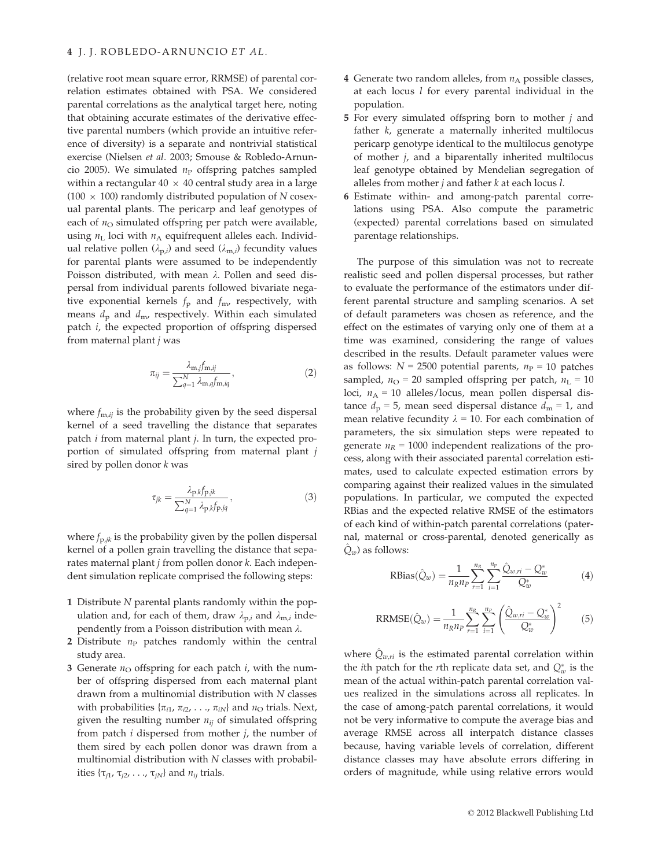(relative root mean square error, RRMSE) of parental correlation estimates obtained with PSA. We considered parental correlations as the analytical target here, noting that obtaining accurate estimates of the derivative effective parental numbers (which provide an intuitive reference of diversity) is a separate and nontrivial statistical exercise (Nielsen et al. 2003; Smouse & Robledo-Arnuncio 2005). We simulated  $n_P$  offspring patches sampled within a rectangular  $40 \times 40$  central study area in a large (100  $\times$  100) randomly distributed population of N cosexual parental plants. The pericarp and leaf genotypes of each of  $n_{\rm O}$  simulated offspring per patch were available, using  $n<sub>L</sub>$  loci with  $n<sub>A</sub>$  equifrequent alleles each. Individual relative pollen ( $\lambda_{p,i}$ ) and seed ( $\lambda_{m,i}$ ) fecundity values for parental plants were assumed to be independently Poisson distributed, with mean  $\lambda$ . Pollen and seed dispersal from individual parents followed bivariate negative exponential kernels  $f_p$  and  $f_m$ , respectively, with means  $d_p$  and  $d_m$ , respectively. Within each simulated patch i, the expected proportion of offspring dispersed from maternal plant j was

$$
\pi_{ij} = \frac{\lambda_{m,j} f_{m,ij}}{\sum_{q=1}^{N} \lambda_{m,q} f_{m,iq}},
$$
\n(2)

where  $f_{m,ij}$  is the probability given by the seed dispersal kernel of a seed travelling the distance that separates patch i from maternal plant j. In turn, the expected proportion of simulated offspring from maternal plant j sired by pollen donor  $k$  was

$$
\tau_{jk} = \frac{\lambda_{p,k} f_{p,jk}}{\sum_{q=1}^{N} \lambda_{p,k} f_{p,jq}},\tag{3}
$$

where  $f_{p,ik}$  is the probability given by the pollen dispersal kernel of a pollen grain travelling the distance that separates maternal plant  $j$  from pollen donor  $k$ . Each independent simulation replicate comprised the following steps:

- 1 Distribute N parental plants randomly within the population and, for each of them, draw  $\lambda_{p,i}$  and  $\lambda_{m,i}$  independently from a Poisson distribution with mean  $\lambda$ .
- 2 Distribute  $n_P$  patches randomly within the central study area.
- 3 Generate  $n_{\text{O}}$  offspring for each patch  $i$ , with the number of offspring dispersed from each maternal plant drawn from a multinomial distribution with  $N$  classes with probabilities  $\{\pi_{i1}, \pi_{i2}, \ldots, \pi_{iN}\}\$  and  $n_{\Omega}$  trials. Next, given the resulting number  $n_{ij}$  of simulated offspring from patch  $i$  dispersed from mother  $j$ , the number of them sired by each pollen donor was drawn from a multinomial distribution with  $N$  classes with probabilities  $\{\tau_{i1}, \tau_{i2}, \ldots, \tau_{iN}\}\$  and  $n_{ij}$  trials.
- 4 Generate two random alleles, from  $n_A$  possible classes, at each locus  $l$  for every parental individual in the population.
- 5 For every simulated offspring born to mother  $j$  and father k, generate a maternally inherited multilocus pericarp genotype identical to the multilocus genotype of mother j, and a biparentally inherited multilocus leaf genotype obtained by Mendelian segregation of alleles from mother  $j$  and father  $k$  at each locus  $l$ .
- 6 Estimate within- and among-patch parental correlations using PSA. Also compute the parametric (expected) parental correlations based on simulated parentage relationships.

The purpose of this simulation was not to recreate realistic seed and pollen dispersal processes, but rather to evaluate the performance of the estimators under different parental structure and sampling scenarios. A set of default parameters was chosen as reference, and the effect on the estimates of varying only one of them at a time was examined, considering the range of values described in the results. Default parameter values were as follows:  $N = 2500$  potential parents,  $n_P = 10$  patches sampled,  $n_{\text{O}} = 20$  sampled offspring per patch,  $n_{\text{L}} = 10$ loci,  $n_A = 10$  alleles/locus, mean pollen dispersal distance  $d_p = 5$ , mean seed dispersal distance  $d_m = 1$ , and mean relative fecundity  $\lambda = 10$ . For each combination of parameters, the six simulation steps were repeated to generate  $n_R = 1000$  independent realizations of the process, along with their associated parental correlation estimates, used to calculate expected estimation errors by comparing against their realized values in the simulated populations. In particular, we computed the expected RBias and the expected relative RMSE of the estimators of each kind of within-patch parental correlations (paternal, maternal or cross-parental, denoted generically as  $\hat{Q}_w$ ) as follows:

RBias(
$$
\hat{Q}_w
$$
) =  $\frac{1}{n_R n_P} \sum_{r=1}^{n_R} \sum_{i=1}^{n_p} \frac{\hat{Q}_{w,ri} - Q_w^*}{Q_w^*}$  (4)

RRMSE(
$$
\hat{Q}_w
$$
) =  $\frac{1}{n_R n_P} \sum_{r=1}^{n_R} \sum_{i=1}^{n_P} \left( \frac{\hat{Q}_{w,ri} - Q_w^*}{Q_w^*} \right)^2$  (5)

where  $\hat{Q}_{w,ri}$  is the estimated parental correlation within the *i*th patch for the *r*th replicate data set, and  $Q_w^*$  is the mean of the actual within-patch parental correlation values realized in the simulations across all replicates. In the case of among-patch parental correlations, it would not be very informative to compute the average bias and average RMSE across all interpatch distance classes because, having variable levels of correlation, different distance classes may have absolute errors differing in orders of magnitude, while using relative errors would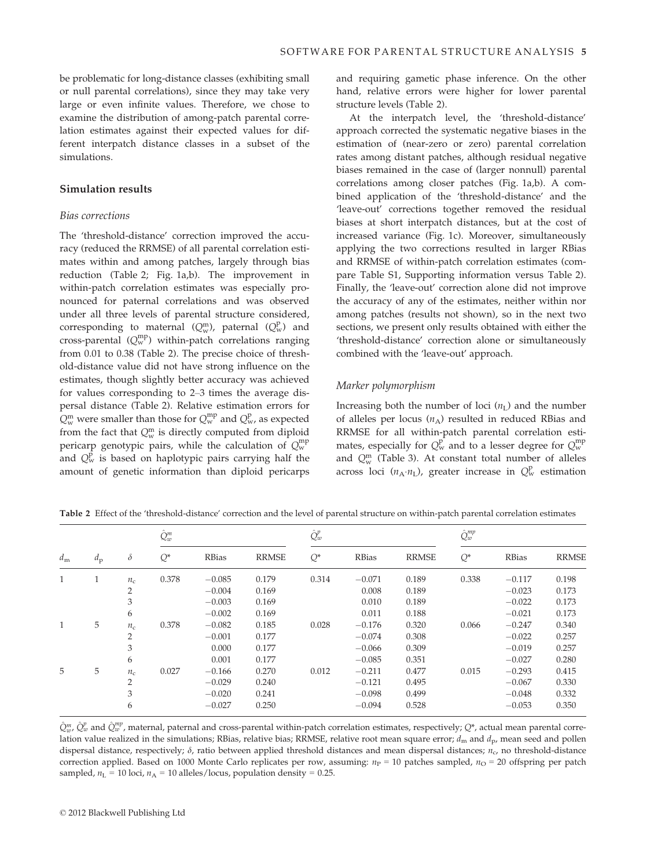be problematic for long-distance classes (exhibiting small or null parental correlations), since they may take very large or even infinite values. Therefore, we chose to examine the distribution of among-patch parental correlation estimates against their expected values for different interpatch distance classes in a subset of the simulations.

# Simulation results

## Bias corrections

The 'threshold-distance' correction improved the accuracy (reduced the RRMSE) of all parental correlation estimates within and among patches, largely through bias reduction (Table 2; Fig. 1a,b). The improvement in within-patch correlation estimates was especially pronounced for paternal correlations and was observed under all three levels of parental structure considered, corresponding to maternal  $(Q_w^m)$ , paternal  $(Q_w^p)$  and cross-parental  $(Q_{\rm w}^{\rm mp})$  within-patch correlations ranging from 0.01 to 0.38 (Table 2). The precise choice of threshold-distance value did not have strong influence on the estimates, though slightly better accuracy was achieved for values corresponding to 2–3 times the average dispersal distance (Table 2). Relative estimation errors for  $Q_{\rm w}^{\rm m}$  were smaller than those for  $Q_{\rm w}^{\rm mp}$  and  $Q_{\rm w}^{\rm p}$ , as expected from the fact that  $Q_w^m$  is directly computed from diploid pericarp genotypic pairs, while the calculation of  $\mathcal{Q}_{\mathrm{w}}^{\mathrm{mp}}$ and  $Q_{\rm w}^{\rm p}$  is based on haplotypic pairs carrying half the amount of genetic information than diploid pericarps

and requiring gametic phase inference. On the other hand, relative errors were higher for lower parental structure levels (Table 2).

At the interpatch level, the 'threshold-distance' approach corrected the systematic negative biases in the estimation of (near-zero or zero) parental correlation rates among distant patches, although residual negative biases remained in the case of (larger nonnull) parental correlations among closer patches (Fig. 1a,b). A combined application of the 'threshold-distance' and the 'leave-out' corrections together removed the residual biases at short interpatch distances, but at the cost of increased variance (Fig. 1c). Moreover, simultaneously applying the two corrections resulted in larger RBias and RRMSE of within-patch correlation estimates (compare Table S1, Supporting information versus Table 2). Finally, the 'leave-out' correction alone did not improve the accuracy of any of the estimates, neither within nor among patches (results not shown), so in the next two sections, we present only results obtained with either the 'threshold-distance' correction alone or simultaneously combined with the 'leave-out' approach.

#### Marker polymorphism

Increasing both the number of loci  $(n<sub>L</sub>)$  and the number of alleles per locus  $(n_A)$  resulted in reduced RBias and RRMSE for all within-patch parental correlation estimates, especially for  $Q_w^p$  and to a lesser degree for  $Q_w^{mp}$ and  $Q_w^m$  (Table 3). At constant total number of alleles across loci  $(n_A \cdot n_L)$ , greater increase in  $Q_w^p$  estimation

| $d_{\rm m}$ |             | $\delta$       | $\hat{Q}^m_w$ |              |              | $\hat{Q}^p_w$ |          |              | $\hat{Q}^{mp}_{w}$ |              |              |
|-------------|-------------|----------------|---------------|--------------|--------------|---------------|----------|--------------|--------------------|--------------|--------------|
|             | $d_{\rm p}$ |                | $Q^*$         | <b>RBias</b> | <b>RRMSE</b> | $Q^*$         | RBias    | <b>RRMSE</b> | $Q^*$              | <b>RBias</b> | <b>RRMSE</b> |
| 1           | 1           | $n_c$          | 0.378         | $-0.085$     | 0.179        | 0.314         | $-0.071$ | 0.189        | 0.338              | $-0.117$     | 0.198        |
|             |             | $\overline{2}$ |               | $-0.004$     | 0.169        |               | 0.008    | 0.189        |                    | $-0.023$     | 0.173        |
|             |             | 3              |               | $-0.003$     | 0.169        |               | 0.010    | 0.189        |                    | $-0.022$     | 0.173        |
|             |             | 6              |               | $-0.002$     | 0.169        |               | 0.011    | 0.188        |                    | $-0.021$     | 0.173        |
| 1           | 5           | $n_c$          | 0.378         | $-0.082$     | 0.185        | 0.028         | $-0.176$ | 0.320        | 0.066              | $-0.247$     | 0.340        |
|             |             | 2              |               | $-0.001$     | 0.177        |               | $-0.074$ | 0.308        |                    | $-0.022$     | 0.257        |
|             |             | 3              |               | 0.000        | 0.177        |               | $-0.066$ | 0.309        |                    | $-0.019$     | 0.257        |
|             |             | 6              |               | 0.001        | 0.177        |               | $-0.085$ | 0.351        |                    | $-0.027$     | 0.280        |
| 5           | 5           | $n_{\rm c}$    | 0.027         | $-0.166$     | 0.270        | 0.012         | $-0.211$ | 0.477        | 0.015              | $-0.293$     | 0.415        |
|             |             | $\overline{2}$ |               | $-0.029$     | 0.240        |               | $-0.121$ | 0.495        |                    | $-0.067$     | 0.330        |
|             |             | 3              |               | $-0.020$     | 0.241        |               | $-0.098$ | 0.499        |                    | $-0.048$     | 0.332        |
|             |             | 6              |               | $-0.027$     | 0.250        |               | $-0.094$ | 0.528        |                    | $-0.053$     | 0.350        |

Table 2 Effect of the 'threshold-distance' correction and the level of parental structure on within-patch parental correlation estimates

 $\hat{Q}^{m}_{w}$ ,  $\hat{Q}^{p}_{w}$  and  $\hat{Q}^{mp}_{w}$ , maternal, paternal and cross-parental within-patch correlation estimates, respectively;  $Q^*$ , actual mean parental correlation value realized in the simulations; RBias, relative bias; RRMSE, relative root mean square error;  $d_m$  and  $d_p$ , mean seed and pollen dispersal distance, respectively;  $\delta$ , ratio between applied threshold distances and mean dispersal distances;  $n_c$ , no threshold-distance correction applied. Based on 1000 Monte Carlo replicates per row, assuming:  $n_P = 10$  patches sampled,  $n_O = 20$  offspring per patch sampled,  $n_L$  = 10 loci,  $n_A$  = 10 alleles/locus, population density = 0.25.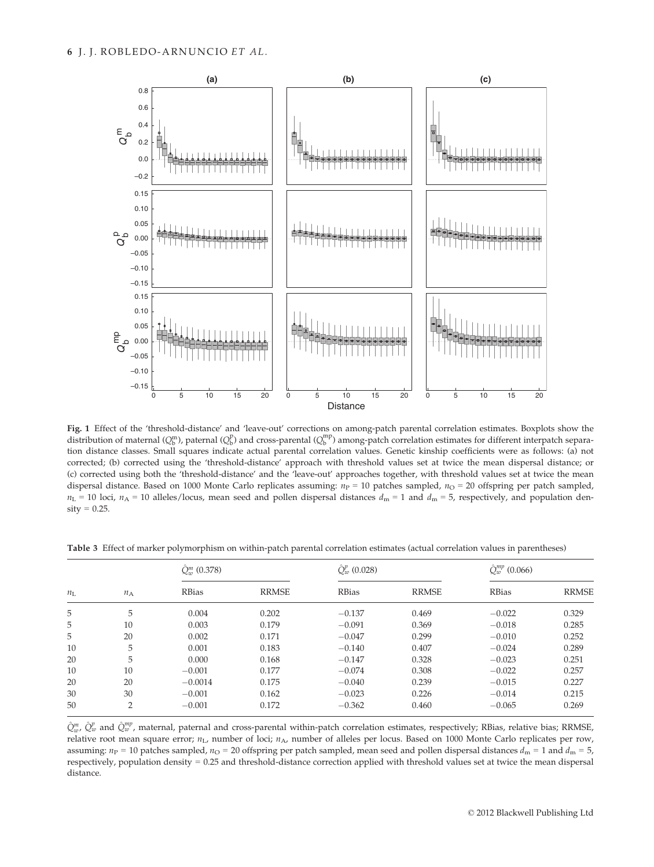

Fig. 1 Effect of the 'threshold-distance' and 'leave-out' corrections on among-patch parental correlation estimates. Boxplots show the distribution of maternal ( $Q_b^m$ ), paternal ( $Q_b^p$ ) and cross-parental ( $Q_b^{mp}$ ) among-patch correlation estimates for different interpatch separation distance classes. Small squares indicate actual parental correlation values. Genetic kinship coefficients were as follows: (a) not corrected; (b) corrected using the 'threshold-distance' approach with threshold values set at twice the mean dispersal distance; or (c) corrected using both the 'threshold-distance' and the 'leave-out' approaches together, with threshold values set at twice the mean dispersal distance. Based on 1000 Monte Carlo replicates assuming:  $n_P = 10$  patches sampled,  $n_O = 20$  offspring per patch sampled,  $n_L$  = 10 loci,  $n_A$  = 10 alleles/locus, mean seed and pollen dispersal distances  $d_m$  = 1 and  $d_m$  = 5, respectively, and population den $sity = 0.25$ .

| <b>Table 3</b> Effect of marker polymorphism on within-patch parental correlation estimates (actual correlation values in parentheses) |  |  |  |  |  |  |
|----------------------------------------------------------------------------------------------------------------------------------------|--|--|--|--|--|--|
|                                                                                                                                        |  |  |  |  |  |  |

| $n_{\rm L}$ |       | $Q_{\nu}^{m}$ (0.378) |              | $\hat{Q}_w^p(0.028)$ |              |              | $\hat{Q}_{w}^{mp}$ (0.066) |  |  |
|-------------|-------|-----------------------|--------------|----------------------|--------------|--------------|----------------------------|--|--|
|             | $n_A$ | <b>RBias</b>          | <b>RRMSE</b> | <b>RBias</b>         | <b>RRMSE</b> | <b>RBias</b> | <b>RRMSE</b>               |  |  |
| 5           | 5     | 0.004                 | 0.202        | $-0.137$             | 0.469        | $-0.022$     | 0.329                      |  |  |
| 5           | 10    | 0.003                 | 0.179        | $-0.091$             | 0.369        | $-0.018$     | 0.285                      |  |  |
| 5           | 20    | 0.002                 | 0.171        | $-0.047$             | 0.299        | $-0.010$     | 0.252                      |  |  |
| 10          | 5     | 0.001                 | 0.183        | $-0.140$             | 0.407        | $-0.024$     | 0.289                      |  |  |
| 20          | 5     | 0.000                 | 0.168        | $-0.147$             | 0.328        | $-0.023$     | 0.251                      |  |  |
| 10          | 10    | $-0.001$              | 0.177        | $-0.074$             | 0.308        | $-0.022$     | 0.257                      |  |  |
| 20          | 20    | $-0.0014$             | 0.175        | $-0.040$             | 0.239        | $-0.015$     | 0.227                      |  |  |
| 30          | 30    | $-0.001$              | 0.162        | $-0.023$             | 0.226        | $-0.014$     | 0.215                      |  |  |
| 50          | 2     | $-0.001$              | 0.172        | $-0.362$             | 0.460        | $-0.065$     | 0.269                      |  |  |

 $\hat{Q}^{m}_{w}$ ,  $\hat{Q}^{p}_{w}$  and  $\hat{Q}^{mp}_{w}$ , maternal, paternal and cross-parental within-patch correlation estimates, respectively; RBias, relative bias; RRMSE, relative root mean square error;  $n_L$ , number of loci;  $n_A$ , number of alleles per locus. Based on 1000 Monte Carlo replicates per row, assuming:  $n_P = 10$  patches sampled,  $n_Q = 20$  offspring per patch sampled, mean seed and pollen dispersal distances  $d_m = 1$  and  $d_m = 5$ , respectively, population density = 0.25 and threshold-distance correction applied with threshold values set at twice the mean dispersal distance.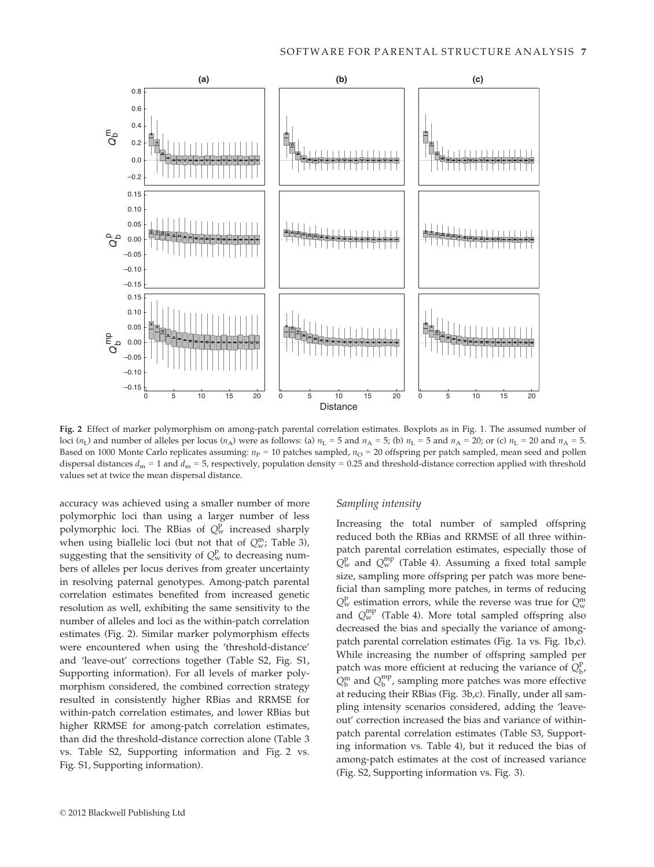

Fig. 2 Effect of marker polymorphism on among-patch parental correlation estimates. Boxplots as in Fig. 1. The assumed number of loci ( $n_L$ ) and number of alleles per locus ( $n_A$ ) were as follows: (a)  $n_L = 5$  and  $n_A = 5$ ; (b)  $n_L = 5$  and  $n_A = 20$ ; or (c)  $n_L = 20$  and  $n_A = 5$ . Based on 1000 Monte Carlo replicates assuming:  $n_P = 10$  patches sampled,  $n_O = 20$  offspring per patch sampled, mean seed and pollen dispersal distances  $d_m = 1$  and  $d_m = 5$ , respectively, population density = 0.25 and threshold-distance correction applied with threshold values set at twice the mean dispersal distance.

accuracy was achieved using a smaller number of more polymorphic loci than using a larger number of less polymorphic loci. The RBias of  $Q_w^p$  increased sharply when using biallelic loci (but not that of  $Q_w^m$ ; Table 3), suggesting that the sensitivity of  $Q_w^p$  to decreasing numbers of alleles per locus derives from greater uncertainty in resolving paternal genotypes. Among-patch parental correlation estimates benefited from increased genetic resolution as well, exhibiting the same sensitivity to the number of alleles and loci as the within-patch correlation estimates (Fig. 2). Similar marker polymorphism effects were encountered when using the 'threshold-distance' and 'leave-out' corrections together (Table S2, Fig. S1, Supporting information). For all levels of marker polymorphism considered, the combined correction strategy resulted in consistently higher RBias and RRMSE for within-patch correlation estimates, and lower RBias but higher RRMSE for among-patch correlation estimates, than did the threshold-distance correction alone (Table 3 vs. Table S2, Supporting information and Fig. 2 vs. Fig. S1, Supporting information).

#### Sampling intensity

Increasing the total number of sampled offspring reduced both the RBias and RRMSE of all three withinpatch parental correlation estimates, especially those of  $Q_w^{\rm p}$  and  $Q_w^{\rm mp}$  (Table 4). Assuming a fixed total sample size, sampling more offspring per patch was more beneficial than sampling more patches, in terms of reducing  $Q_w^{\rm p}$  estimation errors, while the reverse was true for  $Q_w^{\rm m}$ and  $Q_{\rm w}^{\rm mp}$  (Table 4). More total sampled offspring also decreased the bias and specially the variance of amongpatch parental correlation estimates (Fig. 1a vs. Fig. 1b,c). While increasing the number of offspring sampled per patch was more efficient at reducing the variance of  $Q_{\rm b}^{\rm p}$ ,  $Q_b^m$  and  $Q_b^{mp}$ , sampling more patches was more effective at reducing their RBias (Fig. 3b,c). Finally, under all sampling intensity scenarios considered, adding the 'leaveout' correction increased the bias and variance of withinpatch parental correlation estimates (Table S3, Supporting information vs. Table 4), but it reduced the bias of among-patch estimates at the cost of increased variance (Fig. S2, Supporting information vs. Fig. 3).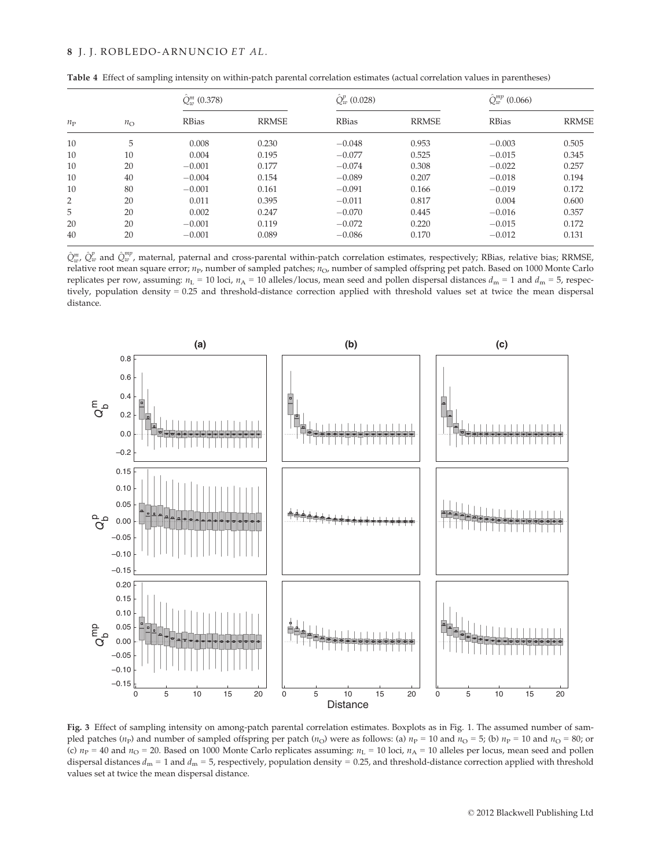| $n_{\rm P}$ |              | $\hat{Q}^m_{\infty}$ (0.378) |              | $\hat{O}_m^p(0.028)$ |              | $\hat{Q}_{w}^{mp}$ (0.066) |              |  |
|-------------|--------------|------------------------------|--------------|----------------------|--------------|----------------------------|--------------|--|
|             | $n_{\Omega}$ | <b>RBias</b>                 | <b>RRMSE</b> | <b>RBias</b>         | <b>RRMSE</b> | <b>RBias</b>               | <b>RRMSE</b> |  |
| 10          | 5            | 0.008                        | 0.230        | $-0.048$             | 0.953        | $-0.003$                   | 0.505        |  |
| 10          | 10           | 0.004                        | 0.195        | $-0.077$             | 0.525        | $-0.015$                   | 0.345        |  |
| 10          | 20           | $-0.001$                     | 0.177        | $-0.074$             | 0.308        | $-0.022$                   | 0.257        |  |
| 10          | 40           | $-0.004$                     | 0.154        | $-0.089$             | 0.207        | $-0.018$                   | 0.194        |  |
| 10          | 80           | $-0.001$                     | 0.161        | $-0.091$             | 0.166        | $-0.019$                   | 0.172        |  |
| 2           | 20           | 0.011                        | 0.395        | $-0.011$             | 0.817        | 0.004                      | 0.600        |  |
| 5           | 20           | 0.002                        | 0.247        | $-0.070$             | 0.445        | $-0.016$                   | 0.357        |  |
| 20          | 20           | $-0.001$                     | 0.119        | $-0.072$             | 0.220        | $-0.015$                   | 0.172        |  |
| 40          | 20           | $-0.001$                     | 0.089        | $-0.086$             | 0.170        | $-0.012$                   | 0.131        |  |

Table 4 Effect of sampling intensity on within-patch parental correlation estimates (actual correlation values in parentheses)

 $\hat{Q}^{m}_{w}$ ,  $\hat{Q}^{p}_{w}$  and  $\hat{Q}^{mp}_{w}$ , maternal, paternal and cross-parental within-patch correlation estimates, respectively; RBias, relative bias; RRMSE, relative root mean square error;  $n_P$ , number of sampled patches;  $n_O$ , number of sampled offspring pet patch. Based on 1000 Monte Carlo replicates per row, assuming:  $n_L = 10$  loci,  $n_A = 10$  alleles/locus, mean seed and pollen dispersal distances  $d_m = 1$  and  $d_m = 5$ , respectively, population density = 0.25 and threshold-distance correction applied with threshold values set at twice the mean dispersal distance.



Fig. 3 Effect of sampling intensity on among-patch parental correlation estimates. Boxplots as in Fig. 1. The assumed number of sampled patches ( $n_P$ ) and number of sampled offspring per patch ( $n_O$ ) were as follows: (a)  $n_P = 10$  and  $n_O = 5$ ; (b)  $n_P = 10$  and  $n_O = 80$ ; or (c)  $n_P = 40$  and  $n_Q = 20$ . Based on 1000 Monte Carlo replicates assuming:  $n_L = 10$  loci,  $n_A = 10$  alleles per locus, mean seed and pollen dispersal distances  $d_m = 1$  and  $d_m = 5$ , respectively, population density = 0.25, and threshold-distance correction applied with threshold values set at twice the mean dispersal distance.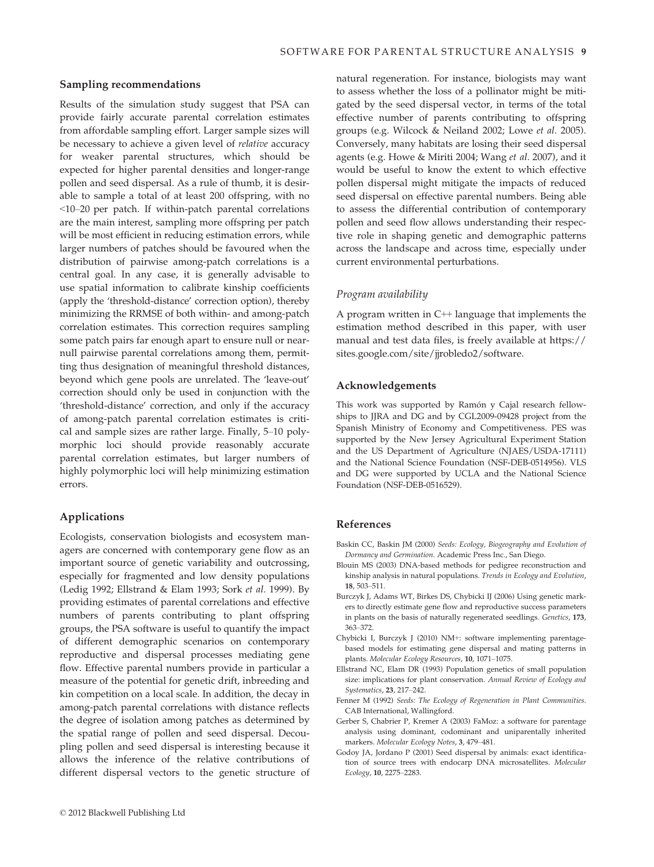## Sampling recommendations

Results of the simulation study suggest that PSA can provide fairly accurate parental correlation estimates from affordable sampling effort. Larger sample sizes will be necessary to achieve a given level of *relative* accuracy for weaker parental structures, which should be expected for higher parental densities and longer-range pollen and seed dispersal. As a rule of thumb, it is desirable to sample a total of at least 200 offspring, with no <10–20 per patch. If within-patch parental correlations are the main interest, sampling more offspring per patch will be most efficient in reducing estimation errors, while larger numbers of patches should be favoured when the distribution of pairwise among-patch correlations is a central goal. In any case, it is generally advisable to use spatial information to calibrate kinship coefficients (apply the 'threshold-distance' correction option), thereby minimizing the RRMSE of both within- and among-patch correlation estimates. This correction requires sampling some patch pairs far enough apart to ensure null or nearnull pairwise parental correlations among them, permitting thus designation of meaningful threshold distances, beyond which gene pools are unrelated. The 'leave-out' correction should only be used in conjunction with the 'threshold-distance' correction, and only if the accuracy of among-patch parental correlation estimates is critical and sample sizes are rather large. Finally, 5–10 polymorphic loci should provide reasonably accurate parental correlation estimates, but larger numbers of highly polymorphic loci will help minimizing estimation errors.

## Applications

Ecologists, conservation biologists and ecosystem managers are concerned with contemporary gene flow as an important source of genetic variability and outcrossing, especially for fragmented and low density populations (Ledig 1992; Ellstrand & Elam 1993; Sork et al. 1999). By providing estimates of parental correlations and effective numbers of parents contributing to plant offspring groups, the PSA software is useful to quantify the impact of different demographic scenarios on contemporary reproductive and dispersal processes mediating gene flow. Effective parental numbers provide in particular a measure of the potential for genetic drift, inbreeding and kin competition on a local scale. In addition, the decay in among-patch parental correlations with distance reflects the degree of isolation among patches as determined by the spatial range of pollen and seed dispersal. Decoupling pollen and seed dispersal is interesting because it allows the inference of the relative contributions of different dispersal vectors to the genetic structure of

natural regeneration. For instance, biologists may want to assess whether the loss of a pollinator might be mitigated by the seed dispersal vector, in terms of the total effective number of parents contributing to offspring groups (e.g. Wilcock & Neiland 2002; Lowe et al. 2005). Conversely, many habitats are losing their seed dispersal agents (e.g. Howe & Miriti 2004; Wang et al. 2007), and it would be useful to know the extent to which effective pollen dispersal might mitigate the impacts of reduced seed dispersal on effective parental numbers. Being able to assess the differential contribution of contemporary pollen and seed flow allows understanding their respective role in shaping genetic and demographic patterns across the landscape and across time, especially under current environmental perturbations.

## Program availability

A program written in  $C_{++}$  language that implements the estimation method described in this paper, with user manual and test data files, is freely available at https:// sites.google.com/site/jjrobledo2/software.

#### Acknowledgements

This work was supported by Ramón y Cajal research fellowships to JJRA and DG and by CGL2009-09428 project from the Spanish Ministry of Economy and Competitiveness. PES was supported by the New Jersey Agricultural Experiment Station and the US Department of Agriculture (NJAES/USDA-17111) and the National Science Foundation (NSF-DEB-0514956). VLS and DG were supported by UCLA and the National Science Foundation (NSF-DEB-0516529).

## References

- Baskin CC, Baskin JM (2000) Seeds: Ecology, Biogeography and Evolution of Dormancy and Germination. Academic Press Inc., San Diego.
- Blouin MS (2003) DNA-based methods for pedigree reconstruction and kinship analysis in natural populations. Trends in Ecology and Evolution, 18, 503–511.
- Burczyk J, Adams WT, Birkes DS, Chybicki IJ (2006) Using genetic markers to directly estimate gene flow and reproductive success parameters in plants on the basis of naturally regenerated seedlings. Genetics, 173, 363–372.
- Chybicki I, Burczyk J (2010) NM+: software implementing parentagebased models for estimating gene dispersal and mating patterns in plants. Molecular Ecology Resources, 10, 1071–1075.
- Ellstrand NC, Elam DR (1993) Population genetics of small population size: implications for plant conservation. Annual Review of Ecology and Systematics, 23, 217–242.
- Fenner M (1992) Seeds: The Ecology of Regeneration in Plant Communities. CAB International, Wallingford.
- Gerber S, Chabrier P, Kremer A (2003) FaMoz: a software for parentage analysis using dominant, codominant and uniparentally inherited markers. Molecular Ecology Notes, 3, 479–481.
- Godoy JA, Jordano P (2001) Seed dispersal by animals: exact identification of source trees with endocarp DNA microsatellites. Molecular Ecology, 10, 2275–2283.